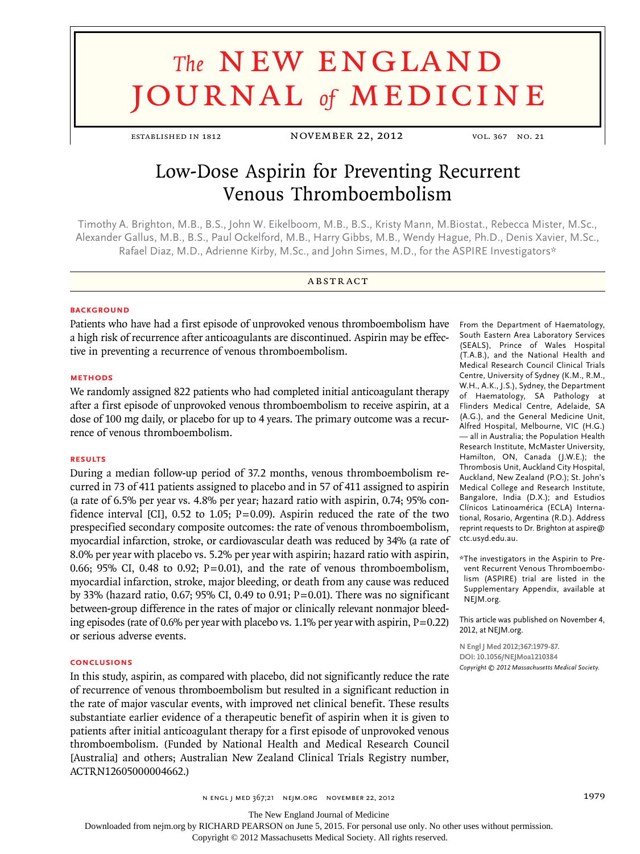# **The NEW ENGLAND** journal *of* medicine

established in 1812 november 22, 2012 vol. 367 no. 21

# Low-Dose Aspirin for Preventing Recurrent Venous Thromboembolism

Timothy A. Brighton, M.B., B.S., John W. Eikelboom, M.B., B.S., Kristy Mann, M.Biostat., Rebecca Mister, M.Sc., Alexander Gallus, M.B., B.S., Paul Ockelford, M.B., Harry Gibbs, M.B., Wendy Hague, Ph.D., Denis Xavier, M.Sc., Rafael Diaz, M.D., Adrienne Kirby, M.Sc., and John Simes, M.D., for the ASPIRE Investigators\*

# **ABSTRACT**

#### **BACKGROUND**

Patients who have had a first episode of unprovoked venous thromboembolism have a high risk of recurrence after anticoagulants are discontinued. Aspirin may be effective in preventing a recurrence of venous thromboembolism.

#### **Methods**

We randomly assigned 822 patients who had completed initial anticoagulant therapy after a first episode of unprovoked venous thromboembolism to receive aspirin, at a dose of 100 mg daily, or placebo for up to 4 years. The primary outcome was a recurrence of venous thromboembolism.

## **Results**

During a median follow-up period of 37.2 months, venous thromboembolism recurred in 73 of 411 patients assigned to placebo and in 57 of 411 assigned to aspirin (a rate of 6.5% per year vs. 4.8% per year; hazard ratio with aspirin, 0.74; 95% confidence interval [CI],  $0.52$  to 1.05; P=0.09). Aspirin reduced the rate of the two prespecified secondary composite outcomes: the rate of venous thromboembolism, myocardial infarction, stroke, or cardiovascular death was reduced by 34% (a rate of 8.0% per year with placebo vs. 5.2% per year with aspirin; hazard ratio with aspirin, 0.66; 95% CI, 0.48 to 0.92;  $P=0.01$ ), and the rate of venous thromboembolism, myocardial infarction, stroke, major bleeding, or death from any cause was reduced by 33% (hazard ratio, 0.67; 95% CI, 0.49 to 0.91;  $P = 0.01$ ). There was no significant between-group difference in the rates of major or clinically relevant nonmajor bleeding episodes (rate of 0.6% per year with placebo vs. 1.1% per year with aspirin,  $P=0.22$ ) or serious adverse events.

#### **Conclusions**

In this study, aspirin, as compared with placebo, did not significantly reduce the rate of recurrence of venous thromboembolism but resulted in a significant reduction in the rate of major vascular events, with improved net clinical benefit. These results substantiate earlier evidence of a therapeutic benefit of aspirin when it is given to patients after initial anticoagulant therapy for a first episode of unprovoked venous thromboembolism. (Funded by National Health and Medical Research Council [Australia] and others; Australian New Zealand Clinical Trials Registry number, ACTRN12605000004662.)

From the Department of Haematology, South Eastern Area Laboratory Services (SEALS), Prince of Wales Hospital (T.A.B.), and the National Health and Medical Research Council Clinical Trials Centre, University of Sydney (K.M., R.M., W.H., A.K., J.S.), Sydney, the Department of Haematology, SA Pathology at Flinders Medical Centre, Adelaide, SA (A.G.), and the General Medicine Unit, Alfred Hospital, Melbourne, VIC (H.G.) — all in Australia; the Population Health Research Institute, McMaster University, Hamilton, ON, Canada (J.W.E.); the Thrombosis Unit, Auckland City Hospital, Auckland, New Zealand (P.O.); St. John's Medical College and Research Institute, Bangalore, India (D.X.); and Estudios Clínicos Latinoamérica (ECLA) International, Rosario, Argentina (R.D.). Address reprint requests to Dr. Brighton at aspire@ ctc.usyd.edu.au.

\*The investigators in the Aspirin to Prevent Recurrent Venous Thromboembolism (ASPIRE) trial are listed in the Supplementary Appendix, available at NEJM.org.

This article was published on November 4, 2012, at NEJM.org.

**N Engl J Med 2012;367:1979-87. DOI: 10.1056/NEJMoa1210384** *Copyright © 2012 Massachusetts Medical Society.*

n engl j med 367;21 nejm.org november 22, 2012 1979

The New England Journal of Medicine

Downloaded from nejm.org by RICHARD PEARSON on June 5, 2015. For personal use only. No other uses without permission.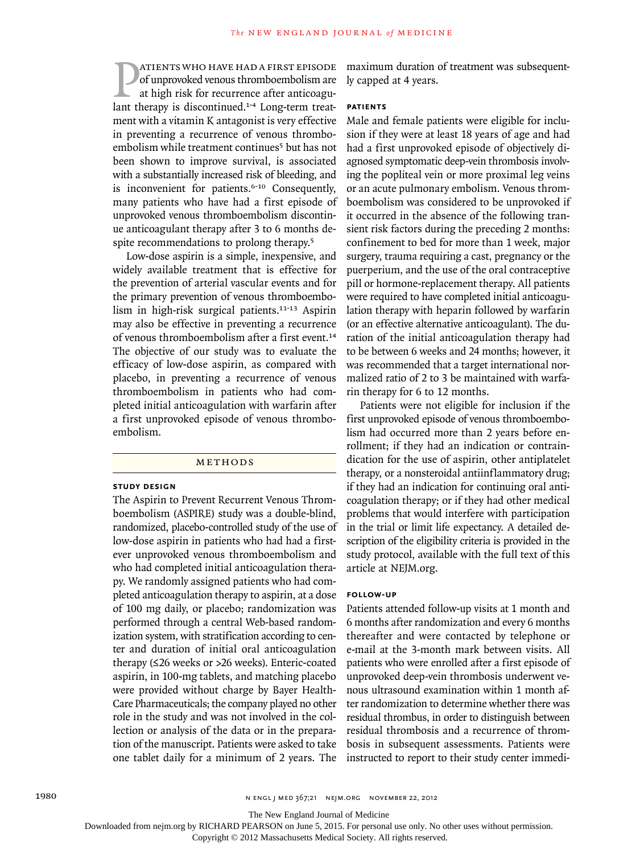**EXECUTE STATE SAMPLE THERAPY STATE SOFTLANT STATE SOFTLANT AT A SUPPOSE AND A FIRST EPISODE AND STATE AT A LONG-THE SAMPLE THE SAMPLE THE SAMPLE THE SAMPLE THE SAMPLE THE SAMPLE THE SAMPLE THE SAMPLE THE SAMPLE THE SAMPLE** atients who have had a first episode of unprovoked venous thromboembolism are at high risk for recurrence after anticoagument with a vitamin K antagonist is very effective in preventing a recurrence of venous thromboembolism while treatment continues<sup>5</sup> but has not been shown to improve survival, is associated with a substantially increased risk of bleeding, and is inconvenient for patients.6-10 Consequently, many patients who have had a first episode of unprovoked venous thromboembolism discontinue anticoagulant therapy after 3 to 6 months despite recommendations to prolong therapy.<sup>5</sup>

Low-dose aspirin is a simple, inexpensive, and widely available treatment that is effective for the prevention of arterial vascular events and for the primary prevention of venous thromboembolism in high-risk surgical patients.<sup>11-13</sup> Aspirin may also be effective in preventing a recurrence of venous thromboembolism after a first event.<sup>14</sup> The objective of our study was to evaluate the efficacy of low-dose aspirin, as compared with placebo, in preventing a recurrence of venous thromboembolism in patients who had completed initial anticoagulation with warfarin after a first unprovoked episode of venous thromboembolism.

#### METHODS

#### **Study Design**

The Aspirin to Prevent Recurrent Venous Thromboembolism (ASPIRE) study was a double-blind, randomized, placebo-controlled study of the use of low-dose aspirin in patients who had had a firstever unprovoked venous thromboembolism and who had completed initial anticoagulation therapy. We randomly assigned patients who had completed anticoagulation therapy to aspirin, at a dose of 100 mg daily, or placebo; randomization was performed through a central Web-based randomization system, with stratification according to center and duration of initial oral anticoagulation therapy (≤26 weeks or >26 weeks). Enteric-coated aspirin, in 100-mg tablets, and matching placebo were provided without charge by Bayer Health-Care Pharmaceuticals; the company played no other role in the study and was not involved in the collection or analysis of the data or in the preparation of the manuscript. Patients were asked to take one tablet daily for a minimum of 2 years. The

maximum duration of treatment was subsequently capped at 4 years.

#### **Patients**

Male and female patients were eligible for inclusion if they were at least 18 years of age and had had a first unprovoked episode of objectively diagnosed symptomatic deep-vein thrombosis involving the popliteal vein or more proximal leg veins or an acute pulmonary embolism. Venous thromboembolism was considered to be unprovoked if it occurred in the absence of the following transient risk factors during the preceding 2 months: confinement to bed for more than 1 week, major surgery, trauma requiring a cast, pregnancy or the puerperium, and the use of the oral contraceptive pill or hormone-replacement therapy. All patients were required to have completed initial anticoagulation therapy with heparin followed by warfarin (or an effective alternative anticoagulant). The duration of the initial anticoagulation therapy had to be between 6 weeks and 24 months; however, it was recommended that a target international normalized ratio of 2 to 3 be maintained with warfarin therapy for 6 to 12 months.

Patients were not eligible for inclusion if the first unprovoked episode of venous thromboembolism had occurred more than 2 years before enrollment; if they had an indication or contraindication for the use of aspirin, other antiplatelet therapy, or a nonsteroidal antiinflammatory drug; if they had an indication for continuing oral anticoagulation therapy; or if they had other medical problems that would interfere with participation in the trial or limit life expectancy. A detailed description of the eligibility criteria is provided in the study protocol, available with the full text of this article at NEJM.org.

#### **Follow-up**

Patients attended follow-up visits at 1 month and 6 months after randomization and every 6 months thereafter and were contacted by telephone or e-mail at the 3-month mark between visits. All patients who were enrolled after a first episode of unprovoked deep-vein thrombosis underwent venous ultrasound examination within 1 month after randomization to determine whether there was residual thrombus, in order to distinguish between residual thrombosis and a recurrence of thrombosis in subsequent assessments. Patients were instructed to report to their study center immedi-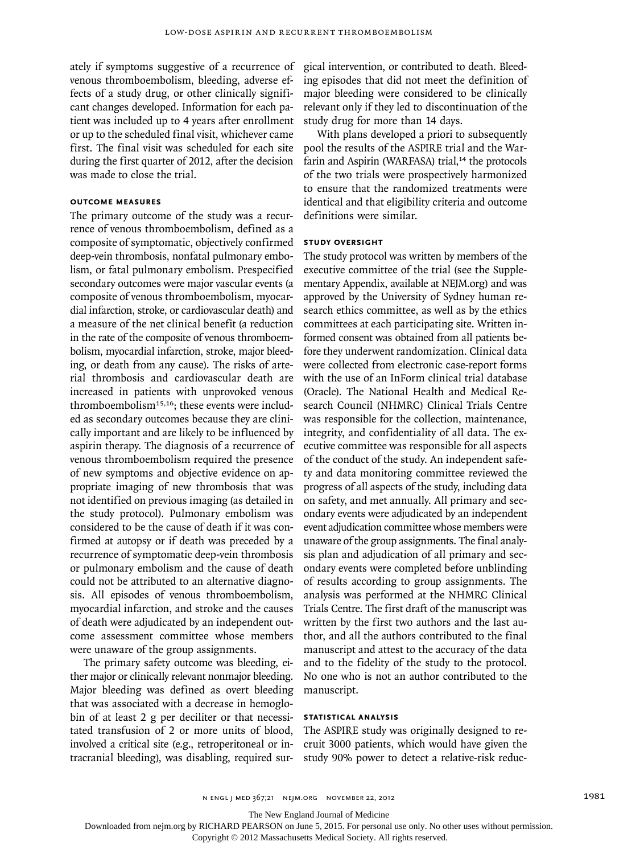ately if symptoms suggestive of a recurrence of venous thromboembolism, bleeding, adverse effects of a study drug, or other clinically significant changes developed. Information for each patient was included up to 4 years after enrollment or up to the scheduled final visit, whichever came first. The final visit was scheduled for each site during the first quarter of 2012, after the decision was made to close the trial.

# **Outcome Measures**

The primary outcome of the study was a recurrence of venous thromboembolism, defined as a composite of symptomatic, objectively confirmed deep-vein thrombosis, nonfatal pulmonary embolism, or fatal pulmonary embolism. Prespecified secondary outcomes were major vascular events (a composite of venous thromboembolism, myocardial infarction, stroke, or cardiovascular death) and a measure of the net clinical benefit (a reduction in the rate of the composite of venous thromboembolism, myocardial infarction, stroke, major bleeding, or death from any cause). The risks of arterial thrombosis and cardiovascular death are increased in patients with unprovoked venous thromboembolism $15,16$ ; these events were included as secondary outcomes because they are clinically important and are likely to be influenced by aspirin therapy. The diagnosis of a recurrence of venous thromboembolism required the presence of new symptoms and objective evidence on appropriate imaging of new thrombosis that was not identified on previous imaging (as detailed in the study protocol). Pulmonary embolism was considered to be the cause of death if it was confirmed at autopsy or if death was preceded by a recurrence of symptomatic deep-vein thrombosis or pulmonary embolism and the cause of death could not be attributed to an alternative diagnosis. All episodes of venous thromboembolism, myocardial infarction, and stroke and the causes of death were adjudicated by an independent outcome assessment committee whose members were unaware of the group assignments.

The primary safety outcome was bleeding, either major or clinically relevant nonmajor bleeding. Major bleeding was defined as overt bleeding that was associated with a decrease in hemoglobin of at least 2 g per deciliter or that necessitated transfusion of 2 or more units of blood, involved a critical site (e.g., retroperitoneal or intracranial bleeding), was disabling, required surgical intervention, or contributed to death. Bleeding episodes that did not meet the definition of major bleeding were considered to be clinically relevant only if they led to discontinuation of the study drug for more than 14 days.

With plans developed a priori to subsequently pool the results of the ASPIRE trial and the Warfarin and Aspirin (WARFASA) trial,<sup>14</sup> the protocols of the two trials were prospectively harmonized to ensure that the randomized treatments were identical and that eligibility criteria and outcome definitions were similar.

#### **Study Oversight**

The study protocol was written by members of the executive committee of the trial (see the Supplementary Appendix, available at NEJM.org) and was approved by the University of Sydney human research ethics committee, as well as by the ethics committees at each participating site. Written informed consent was obtained from all patients before they underwent randomization. Clinical data were collected from electronic case-report forms with the use of an InForm clinical trial database (Oracle). The National Health and Medical Research Council (NHMRC) Clinical Trials Centre was responsible for the collection, maintenance, integrity, and confidentiality of all data. The executive committee was responsible for all aspects of the conduct of the study. An independent safety and data monitoring committee reviewed the progress of all aspects of the study, including data on safety, and met annually. All primary and secondary events were adjudicated by an independent event adjudication committee whose members were unaware of the group assignments. The final analysis plan and adjudication of all primary and secondary events were completed before unblinding of results according to group assignments. The analysis was performed at the NHMRC Clinical Trials Centre. The first draft of the manuscript was written by the first two authors and the last author, and all the authors contributed to the final manuscript and attest to the accuracy of the data and to the fidelity of the study to the protocol. No one who is not an author contributed to the manuscript.

# **Statistical Analysis**

The ASPIRE study was originally designed to recruit 3000 patients, which would have given the study 90% power to detect a relative-risk reduc-

The New England Journal of Medicine

Downloaded from nejm.org by RICHARD PEARSON on June 5, 2015. For personal use only. No other uses without permission.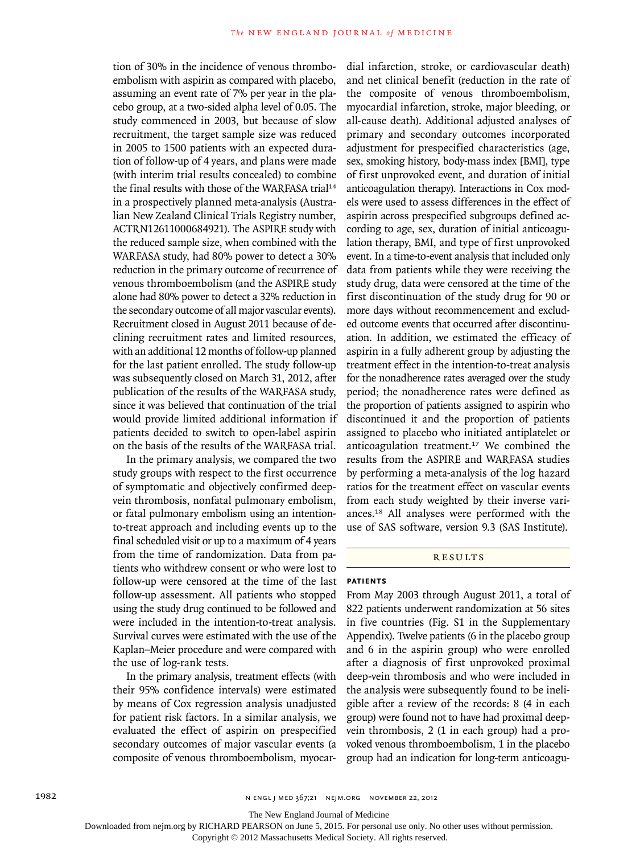tion of 30% in the incidence of venous thromboembolism with aspirin as compared with placebo, assuming an event rate of 7% per year in the placebo group, at a two-sided alpha level of 0.05. The study commenced in 2003, but because of slow recruitment, the target sample size was reduced in 2005 to 1500 patients with an expected duration of follow-up of 4 years, and plans were made (with interim trial results concealed) to combine the final results with those of the WARFASA trial<sup>14</sup> in a prospectively planned meta-analysis (Australian New Zealand Clinical Trials Registry number, ACTRN12611000684921). The ASPIRE study with the reduced sample size, when combined with the WARFASA study, had 80% power to detect a 30% reduction in the primary outcome of recurrence of venous thromboembolism (and the ASPIRE study alone had 80% power to detect a 32% reduction in the secondary outcome of all major vascular events). Recruitment closed in August 2011 because of declining recruitment rates and limited resources, with an additional 12 months of follow-up planned for the last patient enrolled. The study follow-up was subsequently closed on March 31, 2012, after publication of the results of the WARFASA study, since it was believed that continuation of the trial would provide limited additional information if patients decided to switch to open-label aspirin on the basis of the results of the WARFASA trial.

In the primary analysis, we compared the two study groups with respect to the first occurrence of symptomatic and objectively confirmed deepvein thrombosis, nonfatal pulmonary embolism, or fatal pulmonary embolism using an intentionto-treat approach and including events up to the final scheduled visit or up to a maximum of 4 years from the time of randomization. Data from patients who withdrew consent or who were lost to follow-up were censored at the time of the last follow-up assessment. All patients who stopped using the study drug continued to be followed and were included in the intention-to-treat analysis. Survival curves were estimated with the use of the Kaplan–Meier procedure and were compared with the use of log-rank tests.

In the primary analysis, treatment effects (with their 95% confidence intervals) were estimated by means of Cox regression analysis unadjusted for patient risk factors. In a similar analysis, we evaluated the effect of aspirin on prespecified secondary outcomes of major vascular events (a composite of venous thromboembolism, myocardial infarction, stroke, or cardiovascular death) and net clinical benefit (reduction in the rate of the composite of venous thromboembolism, myocardial infarction, stroke, major bleeding, or all-cause death). Additional adjusted analyses of primary and secondary outcomes incorporated adjustment for prespecified characteristics (age, sex, smoking history, body-mass index [BMI], type of first unprovoked event, and duration of initial anticoagulation therapy). Interactions in Cox models were used to assess differences in the effect of aspirin across prespecified subgroups defined according to age, sex, duration of initial anticoagulation therapy, BMI, and type of first unprovoked event. In a time-to-event analysis that included only data from patients while they were receiving the study drug, data were censored at the time of the first discontinuation of the study drug for 90 or more days without recommencement and excluded outcome events that occurred after discontinuation. In addition, we estimated the efficacy of aspirin in a fully adherent group by adjusting the treatment effect in the intention-to-treat analysis for the nonadherence rates averaged over the study period; the nonadherence rates were defined as the proportion of patients assigned to aspirin who discontinued it and the proportion of patients assigned to placebo who initiated antiplatelet or anticoagulation treatment.17 We combined the results from the ASPIRE and WARFASA studies by performing a meta-analysis of the log hazard ratios for the treatment effect on vascular events from each study weighted by their inverse variances.18 All analyses were performed with the use of SAS software, version 9.3 (SAS Institute).

# **RESULTS**

#### **Patients**

From May 2003 through August 2011, a total of 822 patients underwent randomization at 56 sites in five countries (Fig. S1 in the Supplementary Appendix). Twelve patients (6 in the placebo group and 6 in the aspirin group) who were enrolled after a diagnosis of first unprovoked proximal deep-vein thrombosis and who were included in the analysis were subsequently found to be ineligible after a review of the records: 8 (4 in each group) were found not to have had proximal deepvein thrombosis, 2 (1 in each group) had a provoked venous thromboembolism, 1 in the placebo group had an indication for long-term anticoagu-

The New England Journal of Medicine

Downloaded from nejm.org by RICHARD PEARSON on June 5, 2015. For personal use only. No other uses without permission.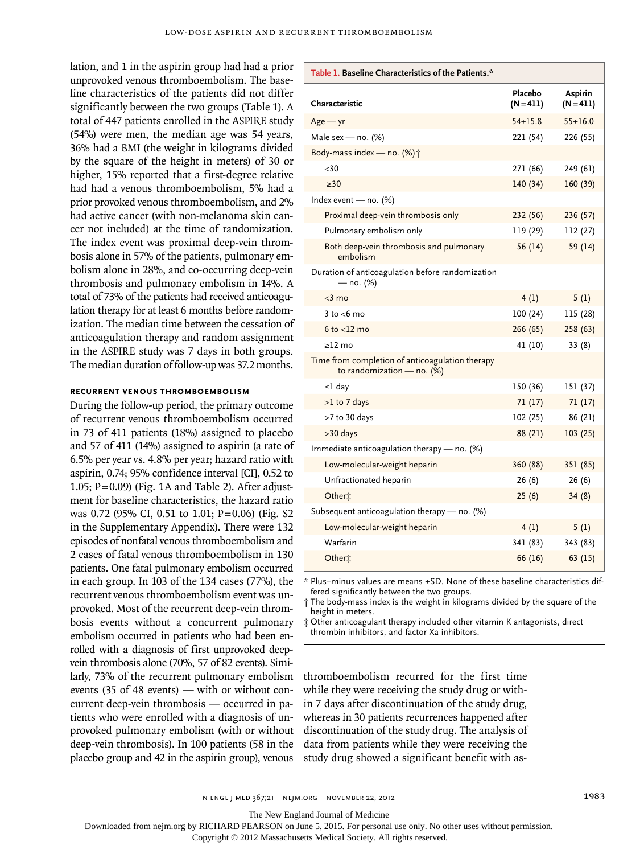lation, and 1 in the aspirin group had had a prior unprovoked venous thromboembolism. The baseline characteristics of the patients did not differ significantly between the two groups (Table 1). A total of 447 patients enrolled in the ASPIRE study (54%) were men, the median age was 54 years, 36% had a BMI (the weight in kilograms divided by the square of the height in meters) of 30 or higher, 15% reported that a first-degree relative had had a venous thromboembolism, 5% had a prior provoked venous thromboembolism, and 2% had active cancer (with non-melanoma skin cancer not included) at the time of randomization. The index event was proximal deep-vein thrombosis alone in 57% of the patients, pulmonary embolism alone in 28%, and co-occurring deep-vein thrombosis and pulmonary embolism in 14%. A total of 73% of the patients had received anticoagulation therapy for at least 6 months before randomization. The median time between the cessation of anticoagulation therapy and random assignment in the ASPIRE study was 7 days in both groups. The median duration of follow-up was 37.2 months.

#### **Recurrent Venous Thromboembolism**

During the follow-up period, the primary outcome of recurrent venous thromboembolism occurred in 73 of 411 patients (18%) assigned to placebo and 57 of 411 (14%) assigned to aspirin (a rate of 6.5% per year vs. 4.8% per year; hazard ratio with aspirin, 0.74; 95% confidence interval [CI], 0.52 to 1.05;  $P=0.09$ ) (Fig. 1A and Table 2). After adjustment for baseline characteristics, the hazard ratio was 0.72 (95% CI, 0.51 to 1.01; P=0.06) (Fig. S2 in the Supplementary Appendix). There were 132 episodes of nonfatal venous thromboembolism and 2 cases of fatal venous thromboembolism in 130 patients. One fatal pulmonary embolism occurred in each group. In 103 of the 134 cases (77%), the recurrent venous thromboembolism event was unprovoked. Most of the recurrent deep-vein thrombosis events without a concurrent pulmonary embolism occurred in patients who had been enrolled with a diagnosis of first unprovoked deepvein thrombosis alone (70%, 57 of 82 events). Similarly, 73% of the recurrent pulmonary embolism events (35 of 48 events) — with or without concurrent deep-vein thrombosis — occurred in patients who were enrolled with a diagnosis of unprovoked pulmonary embolism (with or without deep-vein thrombosis). In 100 patients (58 in the placebo group and 42 in the aspirin group), venous

| Characteristic                                                                | Placebo<br>$(N = 411)$ | Aspirin<br>$(N = 411)$ |
|-------------------------------------------------------------------------------|------------------------|------------------------|
| $Age - yr$                                                                    | $54 \pm 15.8$          | $55 \pm 16.0$          |
| Male sex — no. (%)                                                            | 221 (54)               | 226 (55)               |
| Body-mass index - no. (%) $\dagger$                                           |                        |                        |
| $<$ 30                                                                        | 271 (66)               | 249 (61)               |
| $3 - 30$                                                                      | 140(34)                | 160 (39)               |
| Index event - no. (%)                                                         |                        |                        |
| Proximal deep-vein thrombosis only                                            | 232 (56)               | 236 (57)               |
| Pulmonary embolism only                                                       | 119 (29)               | 112 (27)               |
| Both deep-vein thrombosis and pulmonary<br>embolism                           | 56(14)                 | 59 (14)                |
| Duration of anticoagulation before randomization<br>— no. (%)                 |                        |                        |
| $<$ 3 mo                                                                      | 4(1)                   | 5(1)                   |
| $3$ to $<$ 6 mo                                                               | 100(24)                | 115 (28)               |
| $6$ to $<$ 12 mo                                                              | 266 (65)               | 258(63)                |
| $\geq$ 12 mo                                                                  | 41 (10)                | 33(8)                  |
| Time from completion of anticoagulation therapy<br>to randomization - no. (%) |                        |                        |
| ≤l day                                                                        | 150 (36)               | 151 (37)               |
| $>1$ to 7 days                                                                | 71(17)                 | 71(17)                 |
| >7 to 30 days                                                                 | 102 (25)               | 86 (21)                |
| >30 days                                                                      | 88 (21)                | 103(25)                |
| Immediate anticoagulation therapy — no. (%)                                   |                        |                        |
| Low-molecular-weight heparin                                                  | 360 (88)               | 351 (85)               |
| Unfractionated heparin                                                        | 26(6)                  | 26(6)                  |
| Otheri                                                                        | 25(6)                  | 34(8)                  |
| Subsequent anticoagulation therapy - no. (%)                                  |                        |                        |
| Low-molecular-weight heparin                                                  | 4(1)                   | 5(1)                   |
| Warfarin                                                                      | 341 (83)               | 343 (83)               |
| Othert                                                                        | 66 (16)                | 63(15)                 |

**Table 1. Baseline Characteristics of the Patients.\***

\* Plus–minus values are means ±SD. None of these baseline characteristics differed significantly between the two groups.

† The body-mass index is the weight in kilograms divided by the square of the height in meters.

‡ Other anticoagulant therapy included other vitamin K antagonists, direct thrombin inhibitors, and factor Xa inhibitors.

thromboembolism recurred for the first time while they were receiving the study drug or within 7 days after discontinuation of the study drug, whereas in 30 patients recurrences happened after discontinuation of the study drug. The analysis of data from patients while they were receiving the study drug showed a significant benefit with as-

n engl j med 367;21 nejm.org november 22, 2012 1983

The New England Journal of Medicine

Downloaded from nejm.org by RICHARD PEARSON on June 5, 2015. For personal use only. No other uses without permission.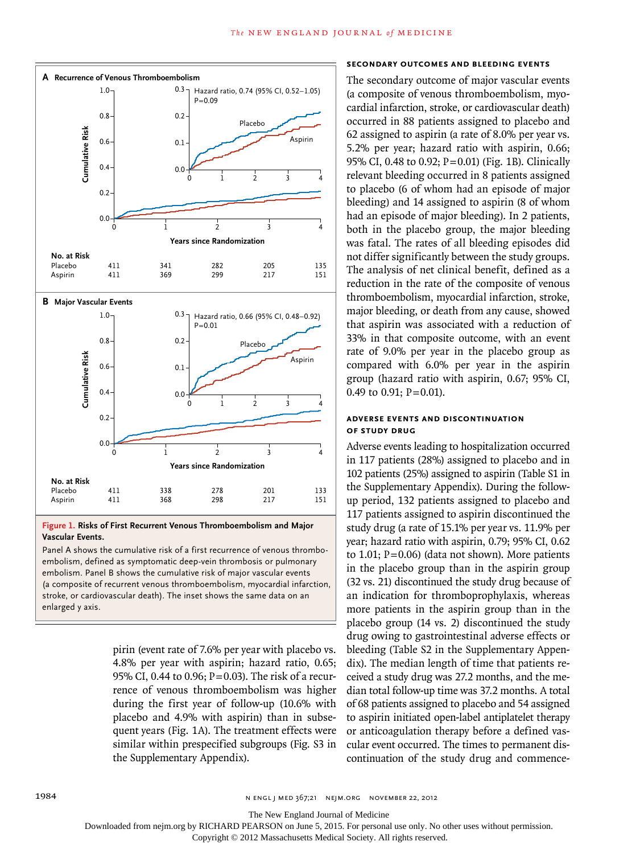

#### **Figure 1. Risks of First Recurrent Venous Thromboembolism and Major Vascular Events.**

Panel A shows the cumulative risk of a first recurrence of venous thromboembolism, defined as symptomatic deep-vein thrombosis or pulmonary embolism. Panel B shows the cumulative risk of major vascular events (a composite of recurrent venous thromboembolism, myocardial infarction, stroke, or cardiovascular death). The inset shows the same data on an enlarged y axis.

> pirin (event rate of 7.6% per year with placebo vs. 4.8% per year with aspirin; hazard ratio, 0.65; 95% CI, 0.44 to 0.96;  $P = 0.03$ ). The risk of a recurrence of venous thromboembolism was higher during the first year of follow-up (10.6% with placebo and 4.9% with aspirin) than in subsequent years (Fig. 1A). The treatment effects were similar within prespecified subgroups (Fig. S3 in the Supplementary Appendix).

## **Secondary Outcomes and Bleeding Events**

The secondary outcome of major vascular events (a composite of venous thromboembolism, myocardial infarction, stroke, or cardiovascular death) occurred in 88 patients assigned to placebo and 62 assigned to aspirin (a rate of 8.0% per year vs. 5.2% per year; hazard ratio with aspirin, 0.66; 95% CI, 0.48 to 0.92; P=0.01) (Fig. 1B). Clinically relevant bleeding occurred in 8 patients assigned to placebo (6 of whom had an episode of major bleeding) and 14 assigned to aspirin (8 of whom had an episode of major bleeding). In 2 patients, both in the placebo group, the major bleeding was fatal. The rates of all bleeding episodes did not differ significantly between the study groups. The analysis of net clinical benefit, defined as a reduction in the rate of the composite of venous thromboembolism, myocardial infarction, stroke, major bleeding, or death from any cause, showed that aspirin was associated with a reduction of 33% in that composite outcome, with an event rate of 9.0% per year in the placebo group as compared with 6.0% per year in the aspirin group (hazard ratio with aspirin, 0.67; 95% CI, 0.49 to 0.91;  $P = 0.01$ ).

# **Adverse Events and Discontinuation of Study Drug**

Adverse events leading to hospitalization occurred in 117 patients (28%) assigned to placebo and in 102 patients (25%) assigned to aspirin (Table S1 in the Supplementary Appendix). During the followup period, 132 patients assigned to placebo and 117 patients assigned to aspirin discontinued the study drug (a rate of 15.1% per year vs. 11.9% per year; hazard ratio with aspirin, 0.79; 95% CI, 0.62 to 1.01;  $P = 0.06$ ) (data not shown). More patients in the placebo group than in the aspirin group (32 vs. 21) discontinued the study drug because of an indication for thromboprophylaxis, whereas more patients in the aspirin group than in the placebo group (14 vs. 2) discontinued the study drug owing to gastrointestinal adverse effects or bleeding (Table S2 in the Supplementary Appendix). The median length of time that patients received a study drug was 27.2 months, and the median total follow-up time was 37.2 months. A total of 68 patients assigned to placebo and 54 assigned to aspirin initiated open-label antiplatelet therapy or anticoagulation therapy before a defined vascular event occurred. The times to permanent discontinuation of the study drug and commence-

1984 n engl j med 367;21 nejm.org november 22, 2012

The New England Journal of Medicine

Downloaded from nejm.org by RICHARD PEARSON on June 5, 2015. For personal use only. No other uses without permission.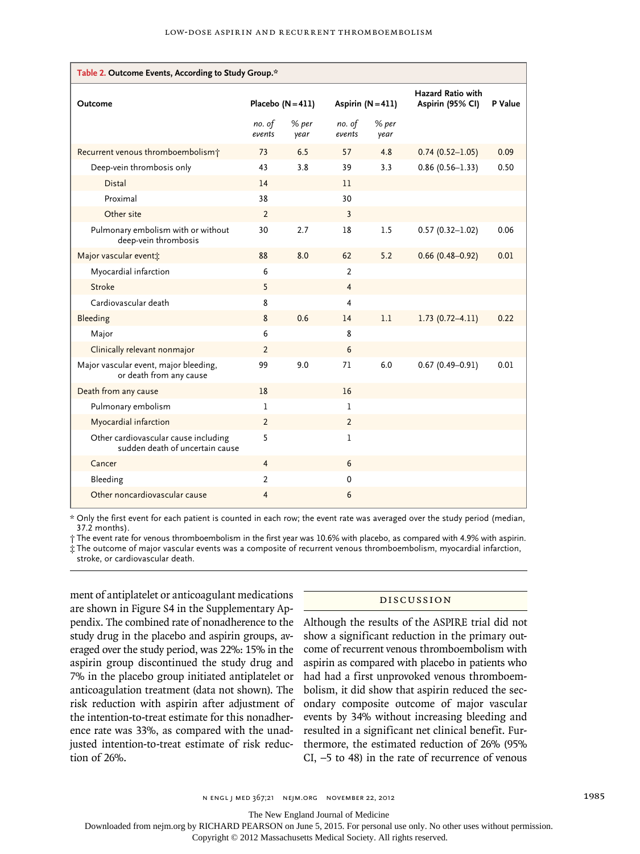| Table 2. Outcome Events, According to Study Group.*                     |                   |               |                   |               |                                              |         |  |  |
|-------------------------------------------------------------------------|-------------------|---------------|-------------------|---------------|----------------------------------------------|---------|--|--|
| Outcome                                                                 | Placebo $(N=411)$ |               | Aspirin $(N=411)$ |               | <b>Hazard Ratio with</b><br>Aspirin (95% CI) | P Value |  |  |
|                                                                         | no. of<br>events  | % per<br>year | no. of<br>events  | % per<br>year |                                              |         |  |  |
| Recurrent venous thromboembolism <sup>+</sup>                           | 73                | 6.5           | 57                | 4.8           | $0.74(0.52 - 1.05)$                          | 0.09    |  |  |
| Deep-vein thrombosis only                                               | 43                | 3.8           | 39                | 3.3           | $0.86(0.56 - 1.33)$                          | 0.50    |  |  |
| <b>Distal</b>                                                           | 14                |               | 11                |               |                                              |         |  |  |
| Proximal                                                                | 38                |               | 30                |               |                                              |         |  |  |
| Other site                                                              | $\overline{2}$    |               | 3                 |               |                                              |         |  |  |
| Pulmonary embolism with or without<br>deep-vein thrombosis              | 30                | 2.7           | 18                | 1.5           | $0.57(0.32 - 1.02)$                          | 0.06    |  |  |
| Major vascular event*                                                   | 88                | 8.0           | 62                | 5.2           | $0.66(0.48 - 0.92)$                          | 0.01    |  |  |
| Myocardial infarction                                                   | 6                 |               | 2                 |               |                                              |         |  |  |
| Stroke                                                                  | 5                 |               | $\overline{4}$    |               |                                              |         |  |  |
| Cardiovascular death                                                    | 8                 |               | 4                 |               |                                              |         |  |  |
| Bleeding                                                                | 8                 | 0.6           | 14                | 1.1           | $1.73(0.72 - 4.11)$                          | 0.22    |  |  |
| Major                                                                   | 6                 |               | 8                 |               |                                              |         |  |  |
| Clinically relevant nonmajor                                            | $\overline{2}$    |               | 6                 |               |                                              |         |  |  |
| Major vascular event, major bleeding,<br>or death from any cause        | 99                | 9.0           | 71                | 6.0           | $0.67(0.49 - 0.91)$                          | 0.01    |  |  |
| Death from any cause                                                    | 18                |               | 16                |               |                                              |         |  |  |
| Pulmonary embolism                                                      | 1                 |               | $\mathbf{1}$      |               |                                              |         |  |  |
| Myocardial infarction                                                   | $\overline{2}$    |               | $\overline{2}$    |               |                                              |         |  |  |
| Other cardiovascular cause including<br>sudden death of uncertain cause | 5                 |               | 1                 |               |                                              |         |  |  |
| Cancer                                                                  | $\overline{4}$    |               | 6                 |               |                                              |         |  |  |
| Bleeding                                                                | $\overline{2}$    |               | $\Omega$          |               |                                              |         |  |  |
| Other noncardiovascular cause                                           | 4                 |               | 6                 |               |                                              |         |  |  |

\* Only the first event for each patient is counted in each row; the event rate was averaged over the study period (median, 37.2 months).

† The event rate for venous thromboembolism in the first year was 10.6% with placebo, as compared with 4.9% with aspirin.

‡ The outcome of major vascular events was a composite of recurrent venous thromboembolism, myocardial infarction, stroke, or cardiovascular death.

ment of antiplatelet or anticoagulant medications are shown in Figure S4 in the Supplementary Appendix. The combined rate of nonadherence to the study drug in the placebo and aspirin groups, averaged over the study period, was 22%: 15% in the aspirin group discontinued the study drug and 7% in the placebo group initiated antiplatelet or anticoagulation treatment (data not shown). The risk reduction with aspirin after adjustment of the intention-to-treat estimate for this nonadherence rate was 33%, as compared with the unadjusted intention-to-treat estimate of risk reduction of 26%.

#### Discussion

Although the results of the ASPIRE trial did not show a significant reduction in the primary outcome of recurrent venous thromboembolism with aspirin as compared with placebo in patients who had had a first unprovoked venous thromboembolism, it did show that aspirin reduced the secondary composite outcome of major vascular events by 34% without increasing bleeding and resulted in a significant net clinical benefit. Furthermore, the estimated reduction of 26% (95% CI, −5 to 48) in the rate of recurrence of venous

The New England Journal of Medicine

Downloaded from nejm.org by RICHARD PEARSON on June 5, 2015. For personal use only. No other uses without permission.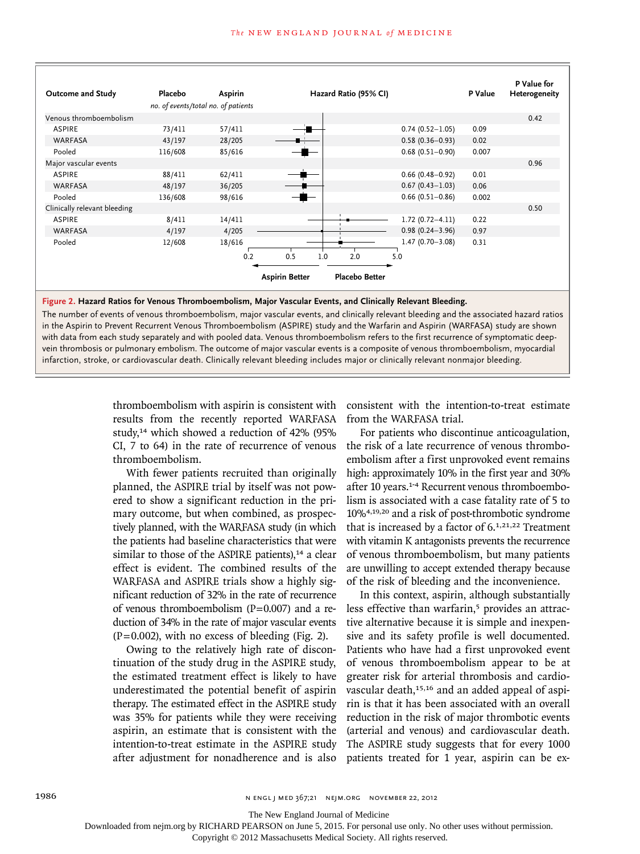| Outcome and Study            | Placebo<br>no. of events/total no. of patients | Aspirin | Hazard Ratio (95% CI)                          | P Value                      | P Value for<br>Heterogeneity |
|------------------------------|------------------------------------------------|---------|------------------------------------------------|------------------------------|------------------------------|
| Venous thromboembolism       |                                                |         |                                                |                              | 0.42                         |
| <b>ASPIRE</b>                | 73/411                                         | 57/411  |                                                | $0.74(0.52 - 1.05)$<br>0.09  |                              |
| <b>WARFASA</b>               | 43/197                                         | 28/205  |                                                | $0.58(0.36 - 0.93)$<br>0.02  |                              |
| Pooled                       | 116/608                                        | 85/616  |                                                | $0.68(0.51 - 0.90)$<br>0.007 |                              |
| Major vascular events        |                                                |         |                                                |                              | 0.96                         |
| <b>ASPIRE</b>                | 88/411                                         | 62/411  |                                                | $0.66$ (0.48-0.92)<br>0.01   |                              |
| <b>WARFASA</b>               | 48/197                                         | 36/205  |                                                | $0.67(0.43 - 1.03)$<br>0.06  |                              |
| Pooled                       | 136/608                                        | 98/616  |                                                | $0.66$ (0.51-0.86)<br>0.002  |                              |
| Clinically relevant bleeding |                                                |         |                                                |                              | 0.50                         |
| <b>ASPIRE</b>                | 8/411                                          | 14/411  |                                                | $1.72(0.72 - 4.11)$<br>0.22  |                              |
| <b>WARFASA</b>               | 4/197                                          | 4/205   |                                                | $0.98(0.24 - 3.96)$<br>0.97  |                              |
| Pooled                       | 12/608                                         | 18/616  |                                                | $1.47(0.70 - 3.08)$<br>0.31  |                              |
|                              |                                                | 0.2     | 0.5<br>1.0<br>2.0<br>5.0                       |                              |                              |
|                              |                                                |         | <b>Placebo Better</b><br><b>Aspirin Better</b> |                              |                              |

#### **Figure 2. Hazard Ratios for Venous Thromboembolism, Major Vascular Events, and Clinically Relevant Bleeding.**

The number of events of venous thromboembolism, major vascular events, and clinically relevant bleeding and the associated hazard ratios in the Aspirin to Prevent Recurrent Venous Thromboembolism (ASPIRE) study and the Warfarin and Aspirin (WARFASA) study are shown with data from each study separately and with pooled data. Venous thromboembolism refers to the first recurrence of symptomatic deepvein thrombosis or pulmonary embolism. The outcome of major vascular events is a composite of venous thromboembolism, myocardial infarction, stroke, or cardiovascular death. Clinically relevant bleeding includes major or clinically relevant nonmajor bleeding.

> thromboembolism with aspirin is consistent with results from the recently reported WARFASA study,14 which showed a reduction of 42% (95% CI, 7 to 64) in the rate of recurrence of venous thromboembolism.

> With fewer patients recruited than originally planned, the ASPIRE trial by itself was not powered to show a significant reduction in the primary outcome, but when combined, as prospectively planned, with the WARFASA study (in which the patients had baseline characteristics that were similar to those of the ASPIRE patients), $14$  a clear effect is evident. The combined results of the WARFASA and ASPIRE trials show a highly significant reduction of 32% in the rate of recurrence of venous thromboembolism  $(P=0.007)$  and a reduction of 34% in the rate of major vascular events  $(P=0.002)$ , with no excess of bleeding (Fig. 2).

> Owing to the relatively high rate of discontinuation of the study drug in the ASPIRE study, the estimated treatment effect is likely to have underestimated the potential benefit of aspirin therapy. The estimated effect in the ASPIRE study was 35% for patients while they were receiving aspirin, an estimate that is consistent with the intention-to-treat estimate in the ASPIRE study after adjustment for nonadherence and is also

consistent with the intention-to-treat estimate from the WARFASA trial.

For patients who discontinue anticoagulation, the risk of a late recurrence of venous thromboembolism after a first unprovoked event remains high: approximately 10% in the first year and 30% after 10 years.1-4 Recurrent venous thromboembolism is associated with a case fatality rate of 5 to 10%4,19,20 and a risk of post-thrombotic syndrome that is increased by a factor of  $6.1,21,22$  Treatment with vitamin K antagonists prevents the recurrence of venous thromboembolism, but many patients are unwilling to accept extended therapy because of the risk of bleeding and the inconvenience.

In this context, aspirin, although substantially less effective than warfarin,<sup>5</sup> provides an attractive alternative because it is simple and inexpensive and its safety profile is well documented. Patients who have had a first unprovoked event of venous thromboembolism appear to be at greater risk for arterial thrombosis and cardiovascular death,<sup>15,16</sup> and an added appeal of aspirin is that it has been associated with an overall reduction in the risk of major thrombotic events (arterial and venous) and cardiovascular death. The ASPIRE study suggests that for every 1000 patients treated for 1 year, aspirin can be ex-

The New England Journal of Medicine

Downloaded from nejm.org by RICHARD PEARSON on June 5, 2015. For personal use only. No other uses without permission.